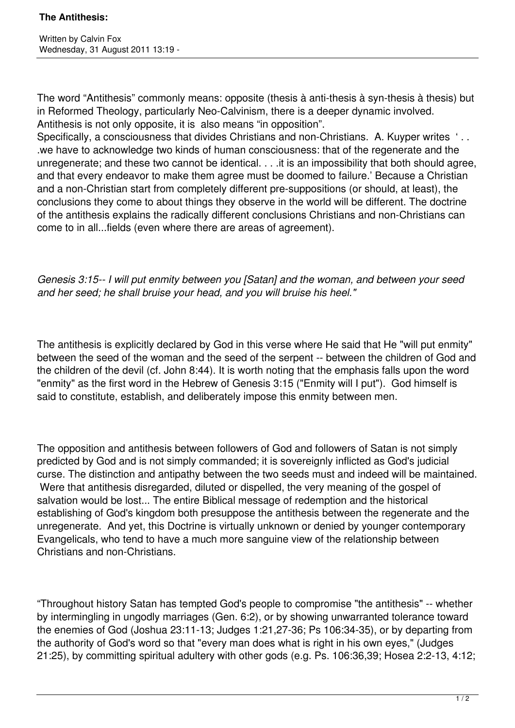The word "Antithesis" commonly means: opposite (thesis à anti-thesis à syn-thesis à thesis) but in Reformed Theology, particularly Neo-Calvinism, there is a deeper dynamic involved. Antithesis is not only opposite, it is also means "in opposition".

Specifically, a consciousness that divides Christians and non-Christians. A. Kuyper writes '.. .we have to acknowledge two kinds of human consciousness: that of the regenerate and the unregenerate; and these two cannot be identical. . . .it is an impossibility that both should agree, and that every endeavor to make them agree must be doomed to failure.' Because a Christian and a non-Christian start from completely different pre-suppositions (or should, at least), the conclusions they come to about things they observe in the world will be different. The doctrine of the antithesis explains the radically different conclusions Christians and non-Christians can come to in all...fields (even where there are areas of agreement).

*Genesis 3:15-- I will put enmity between you [Satan] and the woman, and between your seed and her seed; he shall bruise your head, and you will bruise his heel."* 

The antithesis is explicitly declared by God in this verse where He said that He "will put enmity" between the seed of the woman and the seed of the serpent -- between the children of God and the children of the devil (cf. John 8:44). It is worth noting that the emphasis falls upon the word "enmity" as the first word in the Hebrew of Genesis 3:15 ("Enmity will I put"). God himself is said to constitute, establish, and deliberately impose this enmity between men.

The opposition and antithesis between followers of God and followers of Satan is not simply predicted by God and is not simply commanded; it is sovereignly inflicted as God's judicial curse. The distinction and antipathy between the two seeds must and indeed will be maintained. Were that antithesis disregarded, diluted or dispelled, the very meaning of the gospel of salvation would be lost... The entire Biblical message of redemption and the historical establishing of God's kingdom both presuppose the antithesis between the regenerate and the unregenerate. And yet, this Doctrine is virtually unknown or denied by younger contemporary Evangelicals, who tend to have a much more sanguine view of the relationship between Christians and non-Christians.

"Throughout history Satan has tempted God's people to compromise "the antithesis" -- whether by intermingling in ungodly marriages (Gen. 6:2), or by showing unwarranted tolerance toward the enemies of God (Joshua 23:11-13; Judges 1:21,27-36; Ps 106:34-35), or by departing from the authority of God's word so that "every man does what is right in his own eyes," (Judges 21:25), by committing spiritual adultery with other gods (e.g. Ps. 106:36,39; Hosea 2:2-13, 4:12;